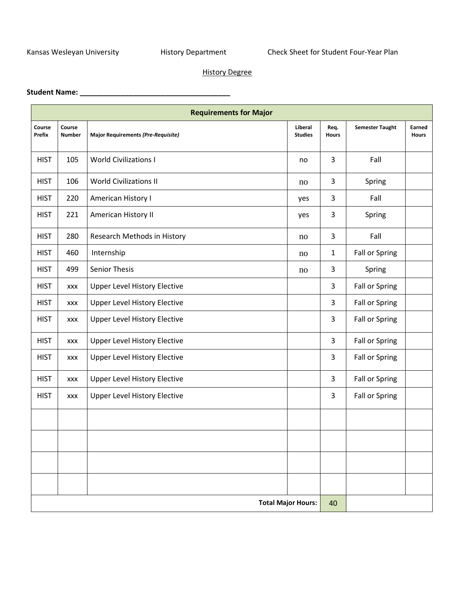## Kansas Wesleyan University **History Department** Check Sheet for Student Four-Year Plan

## History Degree

## **Student Name: \_\_\_\_\_\_\_\_\_\_\_\_\_\_\_\_\_\_\_\_\_\_\_\_\_\_\_\_\_\_\_\_\_\_\_\_\_**

|                  |                         | <b>Requirements for Major</b>             |                           |                      |                        |                        |
|------------------|-------------------------|-------------------------------------------|---------------------------|----------------------|------------------------|------------------------|
| Course<br>Prefix | Course<br><b>Number</b> | <b>Major Requirements (Pre-Requisite)</b> | Liberal<br><b>Studies</b> | Req.<br><b>Hours</b> | <b>Semester Taught</b> | Earned<br><b>Hours</b> |
| <b>HIST</b>      | 105                     | <b>World Civilizations I</b>              | no                        | 3                    | Fall                   |                        |
| <b>HIST</b>      | 106                     | <b>World Civilizations II</b>             | no                        | 3                    | Spring                 |                        |
| <b>HIST</b>      | 220                     | American History I                        | yes                       | 3                    | Fall                   |                        |
| <b>HIST</b>      | 221                     | American History II                       | yes                       | 3                    | Spring                 |                        |
| <b>HIST</b>      | 280                     | Research Methods in History               | no                        | 3                    | Fall                   |                        |
| <b>HIST</b>      | 460                     | Internship                                | no                        | 1                    | Fall or Spring         |                        |
| <b>HIST</b>      | 499                     | <b>Senior Thesis</b>                      | no                        | 3                    | Spring                 |                        |
| <b>HIST</b>      | <b>XXX</b>              | <b>Upper Level History Elective</b>       |                           | 3                    | Fall or Spring         |                        |
| <b>HIST</b>      | <b>XXX</b>              | <b>Upper Level History Elective</b>       |                           | 3                    | Fall or Spring         |                        |
| <b>HIST</b>      | <b>XXX</b>              | <b>Upper Level History Elective</b>       |                           | 3                    | Fall or Spring         |                        |
| <b>HIST</b>      | <b>XXX</b>              | <b>Upper Level History Elective</b>       |                           | 3                    | Fall or Spring         |                        |
| <b>HIST</b>      | <b>XXX</b>              | <b>Upper Level History Elective</b>       |                           | 3                    | Fall or Spring         |                        |
| <b>HIST</b>      | XXX                     | <b>Upper Level History Elective</b>       |                           | 3                    | Fall or Spring         |                        |
| <b>HIST</b>      | <b>XXX</b>              | <b>Upper Level History Elective</b>       |                           | 3                    | Fall or Spring         |                        |
|                  |                         |                                           |                           |                      |                        |                        |
|                  |                         |                                           |                           |                      |                        |                        |
|                  |                         |                                           |                           |                      |                        |                        |
|                  |                         |                                           |                           |                      |                        |                        |
|                  |                         |                                           | <b>Total Major Hours:</b> | 40                   |                        |                        |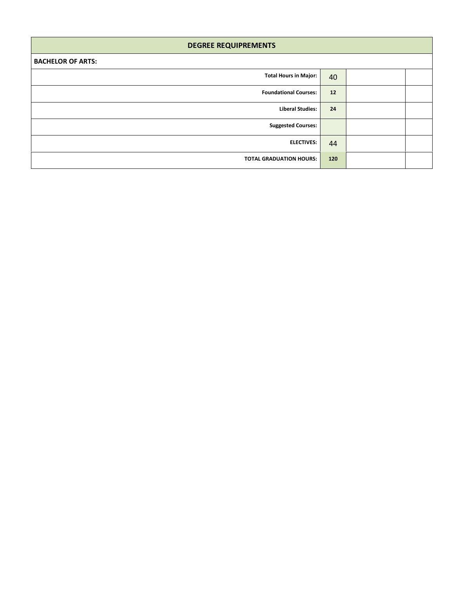| <b>DEGREE REQUIPREMENTS</b>    |     |  |  |  |  |  |  |
|--------------------------------|-----|--|--|--|--|--|--|
| <b>BACHELOR OF ARTS:</b>       |     |  |  |  |  |  |  |
| <b>Total Hours in Major:</b>   | 40  |  |  |  |  |  |  |
| <b>Foundational Courses:</b>   | 12  |  |  |  |  |  |  |
| <b>Liberal Studies:</b>        | 24  |  |  |  |  |  |  |
| <b>Suggested Courses:</b>      |     |  |  |  |  |  |  |
| <b>ELECTIVES:</b>              | 44  |  |  |  |  |  |  |
| <b>TOTAL GRADUATION HOURS:</b> | 120 |  |  |  |  |  |  |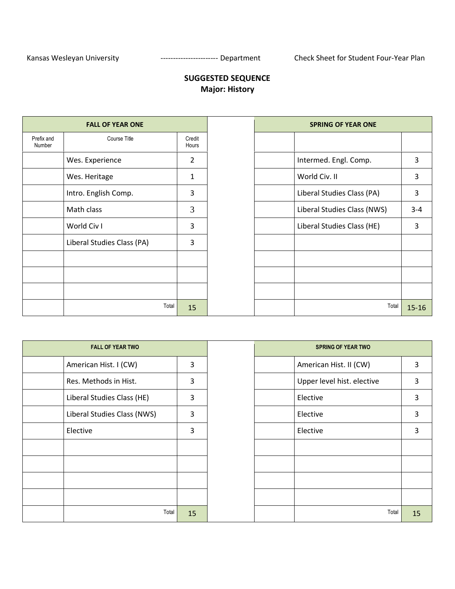г

## **SUGGESTED SEQUENCE Major: History**

| <b>FALL OF YEAR ONE</b>              |       |                 |
|--------------------------------------|-------|-----------------|
| Course Title<br>Prefix and<br>Number |       | Credit<br>Hours |
| Wes. Experience                      |       | $\overline{2}$  |
| Wes. Heritage                        |       | 1               |
| Intro. English Comp.                 |       | 3               |
| Math class                           |       | 3               |
| World Civ I                          |       | 3               |
| Liberal Studies Class (PA)           |       | 3               |
|                                      |       |                 |
|                                      |       |                 |
|                                      |       |                 |
|                                      | Total | 15              |

| <b>FALL OF YEAR ONE</b>    |                 | <b>SPRING OF YEAR ONE</b>   |           |
|----------------------------|-----------------|-----------------------------|-----------|
| Course Title               | Credit<br>Hours |                             |           |
| Wes. Experience            | $\overline{2}$  | Intermed. Engl. Comp.       | 3         |
| Wes. Heritage              | 1               | World Civ. II               | 3         |
| Intro. English Comp.       | 3               | Liberal Studies Class (PA)  | 3         |
| Math class                 | 3               | Liberal Studies Class (NWS) | $3 - 4$   |
| World Civ I                | 3               | Liberal Studies Class (HE)  | 3         |
| Liberal Studies Class (PA) | 3               |                             |           |
|                            |                 |                             |           |
|                            |                 |                             |           |
|                            |                 |                             |           |
| Total                      | 15              | Total                       | $15 - 16$ |

| <b>FALL OF YEAR TWO</b>     |    |  | <b>SPRING OF YEAR TWO</b> |
|-----------------------------|----|--|---------------------------|
| American Hist. I (CW)       | 3  |  | American Hist. II (CW)    |
| Res. Methods in Hist.       | 3  |  | Upper level hist. elect   |
| Liberal Studies Class (HE)  | 3  |  | Elective                  |
| Liberal Studies Class (NWS) | 3  |  | Elective                  |
| Elective                    | 3  |  | Elective                  |
|                             |    |  |                           |
|                             |    |  |                           |
|                             |    |  |                           |
|                             |    |  |                           |
| Total                       | 15 |  |                           |

| <b>FALL OF YEAR TWO</b>          |   | <b>SPRING OF YEAR TWO</b> |                            |    |
|----------------------------------|---|---------------------------|----------------------------|----|
| American Hist. I (CW)<br>3       |   |                           | American Hist. II (CW)     | 3  |
| Res. Methods in Hist.<br>3       |   |                           | Upper level hist. elective | 3  |
| Liberal Studies Class (HE)       | 3 |                           | Elective                   | 3  |
| 3<br>Liberal Studies Class (NWS) |   |                           | Elective                   | 3  |
| Elective                         | 3 |                           | Elective                   | 3  |
|                                  |   |                           |                            |    |
|                                  |   |                           |                            |    |
|                                  |   |                           |                            |    |
|                                  |   |                           |                            |    |
| Total<br>15                      |   |                           | Total                      | 15 |